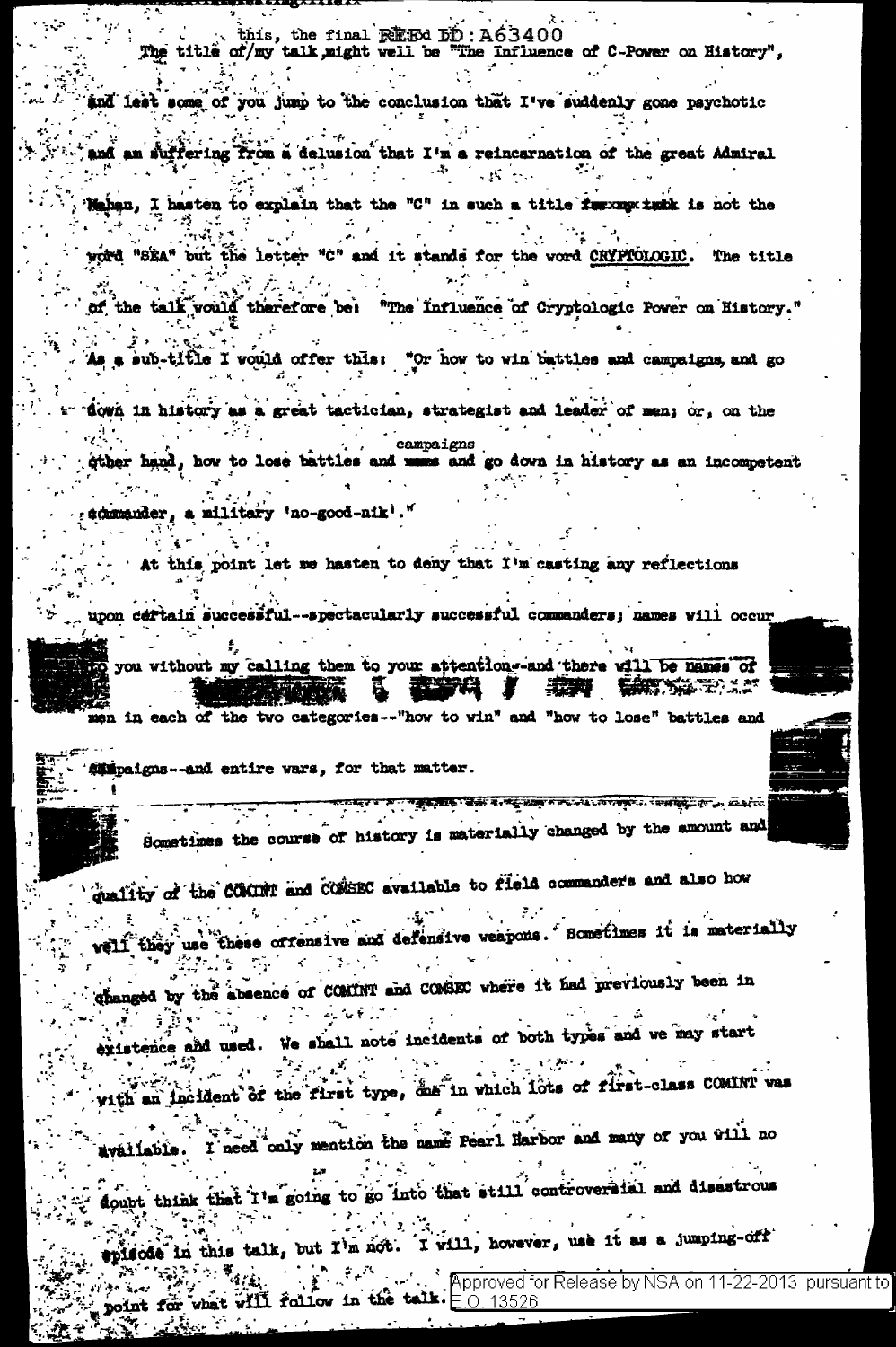this, the final REFed DD: A63400 The title of/my talk might well be "The Influence of C-Power on History",

and lest some of you jump to the conclusion that I've suddenly gone psychotic

 $\mathcal{O}(\mathcal{O}(10^6))$ and am suffering from a delusion that I'm a reincarnation of the great Admiral  $\mathcal{L}_{\mathcal{P}}$  $-25 - 11$ 

Mahan, I hasten to explain that the "C" in such a title furnacy turk is not the

word "SEA" but the letter "C" and it stands for the word CRYPTOLOGIC. The title

of the talk vould therefore bei "The Influence of Cryptologic Power on History."

As a sub-title I would offer this: "Or how to win battles and campaigns, and go

down in history as a great tactician, strategist and leader of man; or, on the campaigns

gther hand, how to lose battles and mass and go down in history as an incompetent

commander, a military 'no-good-nik'."

At this point let me hasten to deny that I'm casting any reflections

upon deftain successful--spectacularly successful commanders; names will occur

to you without my calling them to your attention-and there will be names of 長澤 医体系学 人名

men in each of the two categories -- "how to win" and "how to lose" battles and

campaigns -- and entire wars, for that matter.

 $\frac{1}{\sqrt{2}}$  ,  $\frac{1}{\sqrt{2}}$  ,  $\frac{1}{\sqrt{2}}$  ,  $\frac{1}{\sqrt{2}}$  ,  $\frac{1}{\sqrt{2}}$  ,  $\frac{1}{\sqrt{2}}$  ,  $\frac{1}{\sqrt{2}}$  ,  $\frac{1}{\sqrt{2}}$  ,  $\frac{1}{\sqrt{2}}$  ,  $\frac{1}{\sqrt{2}}$  ,  $\frac{1}{\sqrt{2}}$  ,  $\frac{1}{\sqrt{2}}$  ,  $\frac{1}{\sqrt{2}}$  ,  $\frac{1}{\sqrt{2}}$  ,  $\frac{1}{\sqrt{2}}$  $\sim$   $\sim$ Sometimes the course of history is materially changed by the amount and

quality of the COMINT and CONSEC available to field commanders and also how

veli they use these offensive and defensive veapons. Sometimes it is materially  $\sim$ 

changed by the absence of COMINT and COMSEC where it had previously been in

existence and used. We shall note incidents of both types and we may start

with an incident of the first type, das in which lots of first-class COMINI was

available. I need coly mention the name Pearl Harbor and many of you will no

aoupt think that I'm going to go into that still controversial and disastrous

episode in this talk, but I'm not. I will, however, use it as a jumping-off

 $\cdot$  , Approved for Release by NSA on 11-22-2013  $\,$  pursuant to  $\,$ point for what will follow in the talk.  $E_{.0.13526}$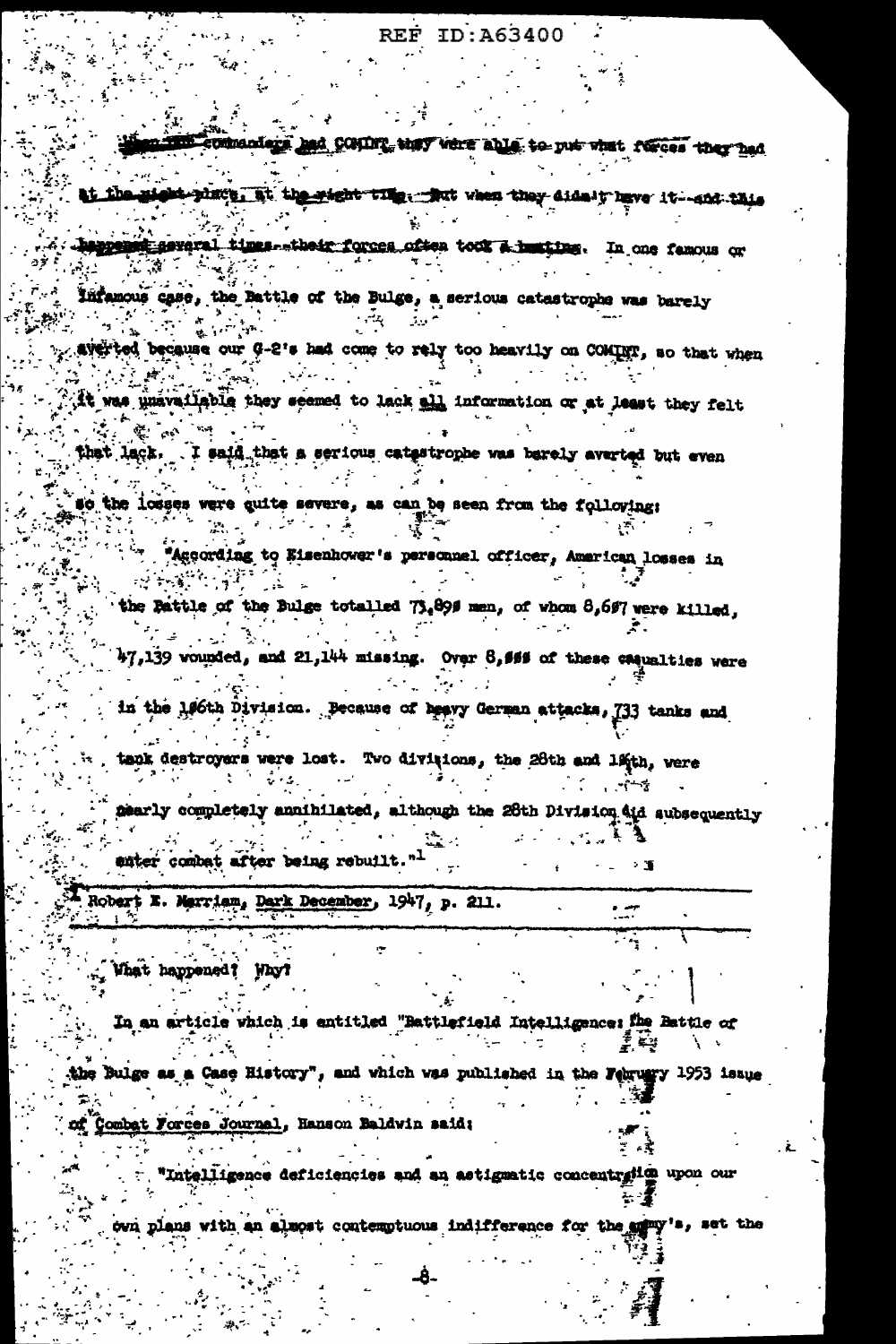## **REF ID:A63400**

commanders had COMING that what able to put what forces they had

at the gight place. It the wight that then they didn't have it-sod this

happened geveral times their forces often took a huming. In one famous or  $\mathbf{Y} = \mathbf{Z}$ 

Infamous case, the Battle of the Bulge, a serious catastrophe was barely

possibly ted because our G-2's had come to rely too heavily on COMINT, so that when

it was unavailable they seemed to lack all information or at least they felt

that lack. I said that a serious catestrophe was barely averted but even

so the losses were guite severe, as can be seen from the following:

" "According to Eisenhower's personnel officer, American losses in  $\frac{1}{2} \left( \frac{1}{2} \sum_{i=1}^{n} \sum_{j=1}^{n} \sum_{j=1}^{n} \sum_{j=1}^{n} \sum_{j=1}^{n} \sum_{j=1}^{n} \sum_{j=1}^{n} \sum_{j=1}^{n} \sum_{j=1}^{n} \sum_{j=1}^{n} \sum_{j=1}^{n} \sum_{j=1}^{n} \sum_{j=1}^{n} \sum_{j=1}^{n} \sum_{j=1}^{n} \sum_{j=1}^{n} \sum_{j=1}^{n} \sum_{j=1}^{n} \sum_{j=1}^{n} \sum_{j=1}^{n} \sum_{$ . . .

the Pattle of the Bulge totalled 73.899 men, of whom 8,697 were killed,

 $47,139$  vounded, and 21,144 missing. Over  $8,469$  of these casualties were

in the 106th Division. Because of heavy German attacks, 733 tanks and

tack destroyers were lost. Two divisions, the 28th and 1sth, were

mearly completely annihilated, although the 28th Division aid subsequently enter combat after being rebuilt."1

Robert E. Marriam, Dark December, 1947, p. 211.

In an article which is entitled "Battlefield Intelligence: the Battle of 柔美

the Bulge as a Case History", and which was published in the Feuruary 1953 issue

nt Combat Forces Journal, Hanson Baldwin said;

What happened! Why?

. "Intelligence deficiencies and an astigmatic concentrying upon our

own plans with an almost contemptuous indifference for the analy's, set the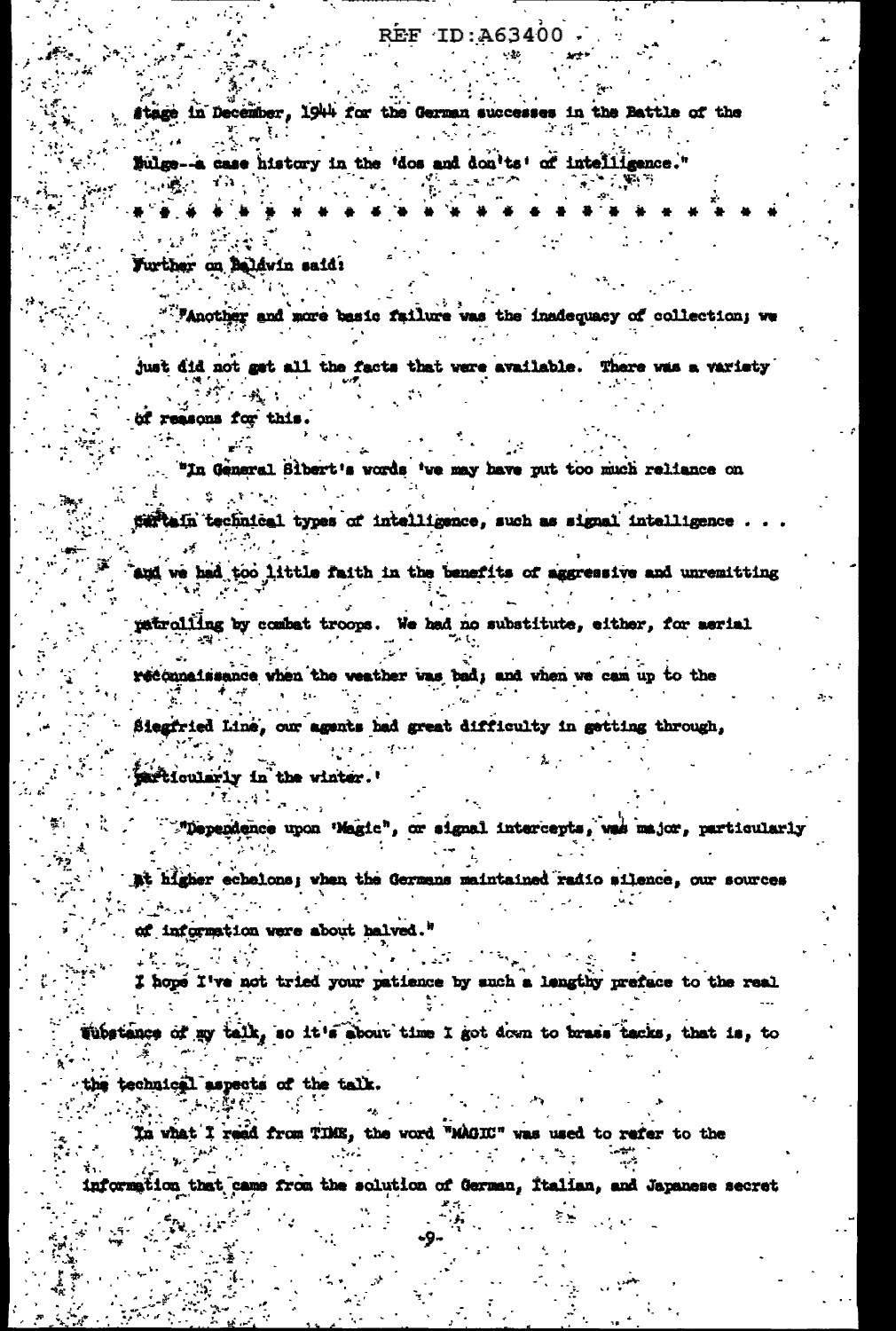## REF ID:A63400

stage in December, 1944 for the German successes in the Battle of the

Sulge--a case history in the 'dos and don'ts' of intelligence." 化碳化 新闻

Further on Baldwin said:

"""Another and more basic failure was the inadequacy of collection; we

just did not get all the facts that were available. There was a variety المحافي

of reasons for this.

"In General Sibert's words 've may have put too much reliance on

sertain technical types of intelligence, such as signal intelligence.

and we had too little faith in the benefits of aggressive and unremitting

patrolling by combat troops. We had no substitute, either, for aerial

reconnaissance when the weather was bad; and when we can up to the

Siegfried Line, our agents had great difficulty in getting through,

farticularly in the winter.'

""Dependence upon 'Magic", or signal intercepts, was major, particularly

at higher echelons; when the Germans maintained radio silence, our sources

of information were about halved."

I hope I've not tried your patience by such a lengthy preface to the real

 $\mathcal{L}^{\mathcal{L}(\mathcal{L})}$ 

Wibstance of my talk, so it's about time I got down to brass tacks, that is, to

the technical aspects of the talk.

In what I reed from TIME, the word "MAGIC" was used to refer to the  $\mathbb{R}^n$  .

information that came from the solution of German, Italian, and Japanese secret